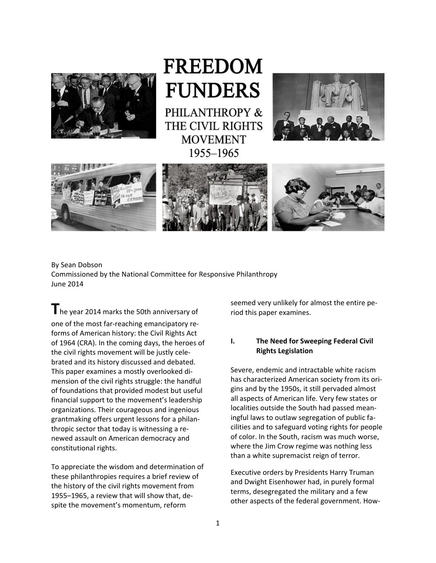

**FREEDOM FUNDERS** PHILANTHROPY & THE CIVIL RIGHTS

> **MOVEMENT** 1955-1965









## By Sean Dobson Commissioned by the National Committee for Responsive Philanthropy June 2014

**T**he year <sup>2014</sup> marks the 50th anniversary of one of the most far‐reaching emancipatory re‐ forms of American history: the Civil Rights Act of 1964 (CRA). In the coming days, the heroes of the civil rights movement will be justly cele‐ brated and its history discussed and debated. This paper examines a mostly overlooked di‐ mension of the civil rights struggle: the handful of foundations that provided modest but useful financial support to the movement's leadership organizations. Their courageous and ingenious grantmaking offers urgent lessons for a philan‐ thropic sector that today is witnessing a re‐ newed assault on American democracy and constitutional rights.

To appreciate the wisdom and determination of these philanthropies requires a brief review of the history of the civil rights movement from 1955–1965, a review that will show that, de‐ spite the movement's momentum, reform

seemed very unlikely for almost the entire pe‐ riod this paper examines.

## **I. The Need for Sweeping Federal Civil Rights Legislation**

Severe, endemic and intractable white racism has characterized American society from its ori‐ gins and by the 1950s, it still pervaded almost all aspects of American life. Very few states or localities outside the South had passed mean‐ ingful laws to outlaw segregation of public fa‐ cilities and to safeguard voting rights for people of color. In the South, racism was much worse, where the Jim Crow regime was nothing less than a white supremacist reign of terror.

Executive orders by Presidents Harry Truman and Dwight Eisenhower had, in purely formal terms, desegregated the military and a few other aspects of the federal government. How‐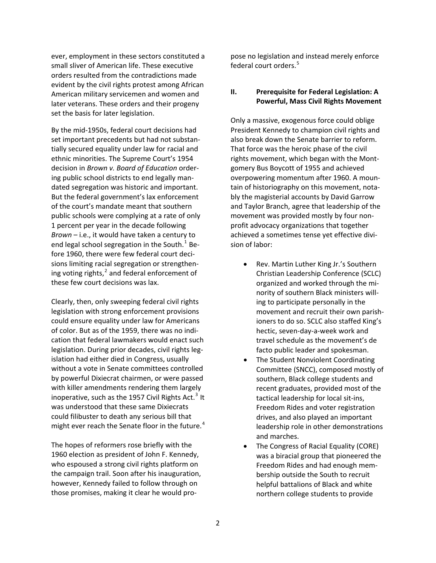ever, employment in these sectors constituted a small sliver of American life. These executive orders resulted from the contradictions made evident by the civil rights protest among African American military servicemen and women and later veterans. These orders and their progeny set the basis for later legislation.

By the mid‐1950s, federal court decisions had set important precedents but had not substan‐ tially secured equality under law for racial and ethnic minorities. The Supreme Court's 1954 decision in *Brown v. Board of Education* order‐ ing public school districts to end legally man‐ dated segregation was historic and important. But the federal government's lax enforcement of the court's mandate meant that southern public schools were complying at a rate of only 1 percent per year in the decade following *Brown* – i.e., it would have taken a century to end legal school segregation in the South.<sup>[1](#page-19-0)</sup> Before 1960, there were few federal court deci‐ sions limiting racial segregation or strengthen‐ ing voting rights, $^2$  $^2$  and federal enforcement of these few court decisions was lax.

Clearly, then, only sweeping federal civil rights legislation with strong enforcement provisions could ensure equality under law for Americans of color. But as of the 1959, there was no indi‐ cation that federal lawmakers would enact such legislation. During prior decades, civil rights leg‐ islation had either died in Congress, usually without a vote in Senate committees controlled by powerful Dixiecrat chairmen, or were passed with killer amendments rendering them largely inoperative, such as the 1957 Civil Rights Act.<sup>[3](#page-19-2)</sup> It was understood that these same Dixiecrats could filibuster to death any serious bill that might ever reach the Senate floor in the future.<sup>[4](#page-19-3)</sup>

The hopes of reformers rose briefly with the 1960 election as president of John F. Kennedy, who espoused a strong civil rights platform on the campaign trail. Soon after his inauguration, however, Kennedy failed to follow through on those promises, making it clear he would pro‐

pose no legislation and instead merely enforce federal court orders.<sup>[5](#page-19-4)</sup>

### **II. Prerequisite for Federal Legislation: A Powerful, Mass Civil Rights Movement**

Only a massive, exogenous force could oblige President Kennedy to champion civil rights and also break down the Senate barrier to reform. That force was the heroic phase of the civil rights movement, which began with the Mont‐ gomery Bus Boycott of 1955 and achieved overpowering momentum after 1960. A moun‐ tain of historiography on this movement, nota‐ bly the magisterial accounts by David Garrow and Taylor Branch, agree that leadership of the movement was provided mostly by four non‐ profit advocacy organizations that together achieved a sometimes tense yet effective divi‐ sion of labor:

- Rev. Martin Luther King Jr.'s Southern Christian Leadership Conference (SCLC) organized and worked through the mi‐ nority of southern Black ministers will‐ ing to participate personally in the movement and recruit their own parish‐ ioners to do so. SCLC also staffed King's hectic, seven‐day‐a‐week work and travel schedule as the movement's de facto public leader and spokesman.
- The Student Nonviolent Coordinating Committee (SNCC), composed mostly of southern, Black college students and recent graduates, provided most of the tactical leadership for local sit‐ins, Freedom Rides and voter registration drives, and also played an important leadership role in other demonstrations and marches.
- The Congress of Racial Equality (CORE) was a biracial group that pioneered the Freedom Rides and had enough mem‐ bership outside the South to recruit helpful battalions of Black and white northern college students to provide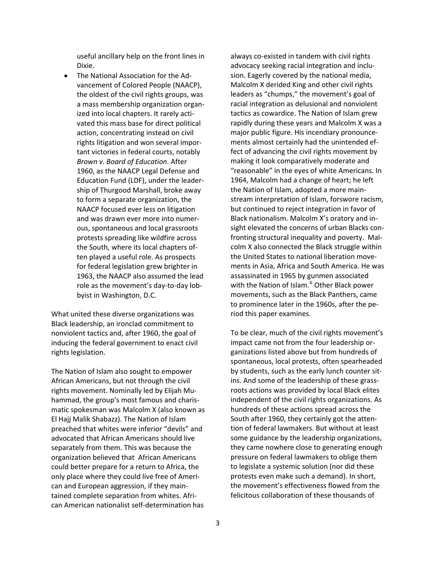useful ancillary help on the front lines in Dixie.

 The National Association for the Ad‐ vancement of Colored People (NAACP), the oldest of the civil rights groups, was a mass membership organization organ‐ ized into local chapters. It rarely acti‐ vated this mass base for direct political action, concentrating instead on civil rights litigation and won several impor‐ tant victories in federal courts, notably *Brown v. Board of Education*. After 1960, as the NAACP Legal Defense and Education Fund (LDF), under the leader‐ ship of Thurgood Marshall, broke away to form a separate organization, the NAACP focused ever less on litigation and was drawn ever more into numer‐ ous, spontaneous and local grassroots protests spreading like wildfire across the South, where its local chapters of‐ ten played a useful role. As prospects for federal legislation grew brighter in 1963, the NAACP also assumed the lead role as the movement's day‐to‐day lob‐ byist in Washington, D.C.

What united these diverse organizations was Black leadership, an ironclad commitment to nonviolent tactics and, after 1960, the goal of inducing the federal government to enact civil rights legislation.

The Nation of Islam also sought to empower African Americans, but not through the civil rights movement. Nominally led by Elijah Mu‐ hammad, the group's most famous and charis‐ matic spokesman was Malcolm X (also known as El Hajj Malik Shabazz). The Nation of Islam preached that whites were inferior "devils" and advocated that African Americans should live separately from them. This was because the organization believed that African Americans could better prepare for a return to Africa, the only place where they could live free of Ameri‐ can and European aggression, if they main‐ tained complete separation from whites. Afri‐ can American nationalist self‐determination has

always co‐existed in tandem with civil rights advocacy seeking racial integration and inclu‐ sion. Eagerly covered by the national media, Malcolm X derided King and other civil rights leaders as "chumps," the movement's goal of racial integration as delusional and nonviolent tactics as cowardice. The Nation of Islam grew rapidly during these years and Malcolm X was a major public figure. His incendiary pronounce‐ ments almost certainly had the unintended ef‐ fect of advancing the civil rights movement by making it look comparatively moderate and "reasonable" in the eyes of white Americans. In 1964, Malcolm had a change of heart; he left the Nation of Islam, adopted a more main‐ stream interpretation of Islam, forswore racism, but continued to reject integration in favor of Black nationalism. Malcolm X's oratory and in‐ sight elevated the concerns of urban Blacks con‐ fronting structural inequality and poverty. Mal‐ colm X also connected the Black struggle within the United States to national liberation move‐ ments in Asia, Africa and South America. He was assassinated in 1965 by gunmen associated with the Nation of Islam.<sup>[6](#page-19-5)</sup> Other Black power movements, such as the Black Panthers, came to prominence later in the 1960s, after the pe‐ riod this paper examines.

To be clear, much of the civil rights movement's impact came not from the four leadership or‐ ganizations listed above but from hundreds of spontaneous, local protests, often spearheaded by students, such as the early lunch counter sit‐ ins. And some of the leadership of these grass‐ roots actions was provided by local Black elites independent of the civil rights organizations. As hundreds of these actions spread across the South after 1960, they certainly got the atten‐ tion of federal lawmakers. But without at least some guidance by the leadership organizations, they came nowhere close to generating enough pressure on federal lawmakers to oblige them to legislate a systemic solution (nor did these protests even make such a demand). In short, the movement's effectiveness flowed from the felicitous collaboration of these thousands of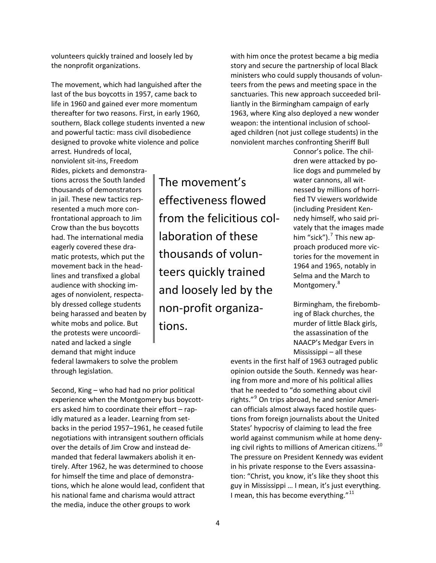volunteers quickly trained and loosely led by the nonprofit organizations.

The movement, which had languished after the last of the bus boycotts in 1957, came back to life in 1960 and gained ever more momentum thereafter for two reasons. First, in early 1960, southern, Black college students invented a new and powerful tactic: mass civil disobedience designed to provoke white violence and police arrest*.* Hundreds of local,

nonviolent sit‐ins, Freedom Rides, pickets and demonstra‐ tions across the South landed thousands of demonstrators in jail. These new tactics rep‐ resented a much more con‐ frontational approach to Jim Crow than the bus boycotts had. The international media eagerly covered these dra‐ matic protests, which put the movement back in the head‐ lines and transfixed a global audience with shocking im‐ ages of nonviolent, respecta‐ bly dressed college students being harassed and beaten by white mobs and police. But the protests were uncoordi‐ nated and lacked a single demand that might induce

The movement's effectiveness flowed from the felicitious col‐ laboration of these thousands of volun‐ teers quickly trained and loosely led by the non‐profit organiza‐ tions.

with him once the protest became a big media story and secure the partnership of local Black ministers who could supply thousands of volun‐ teers from the pews and meeting space in the sanctuaries. This new approach succeeded bril‐ liantly in the Birmingham campaign of early 1963, where King also deployed a new wonder weapon: the intentional inclusion of schoolaged children (not just college students) in the nonviolent marches confronting Sheriff Bull

> Connor's police. The chil‐ dren were attacked by po‐ lice dogs and pummeled by water cannons, all wit‐ nessed by millions of horri‐ fied TV viewers worldwide (including President Ken‐ nedy himself, who said pri‐ vately that the images made him "sick").<sup>[7](#page-19-6)</sup> This new approach produced more vic‐ tories for the movement in 1964 and 1965, notably in Selma and the March to Montgomery.<sup>[8](#page-19-7)</sup>

Birmingham, the firebomb‐ ing of Black churches, the murder of little Black girls, the assassination of the NAACP's Medgar Evers in Mississippi – all these

federal lawmakers to solve the problem through legislation.

Second, King – who had had no prior political experience when the Montgomery bus boycott‐ ers asked him to coordinate their effort – rap‐ idly matured as a leader. Learning from setbacks in the period 1957–1961, he ceased futile negotiations with intransigent southern officials over the details of Jim Crow and instead de‐ manded that federal lawmakers abolish it en‐ tirely. After 1962, he was determined to choose for himself the time and place of demonstra‐ tions, which he alone would lead, confident that his national fame and charisma would attract the media, induce the other groups to work

events in the first half of 1963 outraged public opinion outside the South. Kennedy was hear‐ ing from more and more of his political allies that he needed to "do something about civil rights."[9](#page-19-8) On trips abroad, he and senior Ameri‐ can officials almost always faced hostile ques‐ tions from foreign journalists about the United States' hypocrisy of claiming to lead the free world against communism while at home deny‐ ing civil rights to millions of American citizens.<sup>[10](#page-19-9)</sup> The pressure on President Kennedy was evident in his private response to the Evers assassina‐ tion: "Christ, you know, it's like they shoot this guy in Mississippi … I mean, it's just everything. I mean, this has become everything."<sup>[11](#page-19-10)</sup>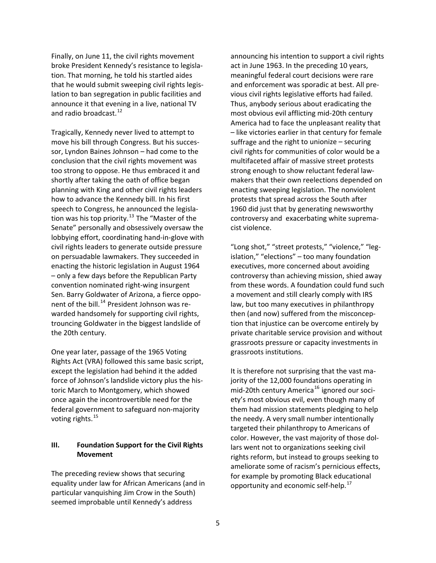Finally, on June 11, the civil rights movement broke President Kennedy's resistance to legisla‐ tion. That morning, he told his startled aides that he would submit sweeping civil rights legis‐ lation to ban segregation in public facilities and announce it that evening in a live, national TV and radio broadcast.<sup>[12](#page-19-11)</sup>

Tragically, Kennedy never lived to attempt to move his bill through Congress. But his succes‐ sor, Lyndon Baines Johnson – had come to the conclusion that the civil rights movement was too strong to oppose. He thus embraced it and shortly after taking the oath of office began planning with King and other civil rights leaders how to advance the Kennedy bill. In his first speech to Congress, he announced the legisla‐ tion was his top priority.<sup>[13](#page-19-12)</sup> The "Master of the Senate" personally and obsessively oversaw the lobbying effort, coordinating hand‐in‐glove with civil rights leaders to generate outside pressure on persuadable lawmakers. They succeeded in enacting the historic legislation in August 1964 – only a few days before the Republican Party convention nominated right‐wing insurgent Sen. Barry Goldwater of Arizona, a fierce oppo‐ nent of the bill.<sup>[14](#page-19-13)</sup> President Johnson was rewarded handsomely for supporting civil rights, trouncing Goldwater in the biggest landslide of the 20th century.

One year later, passage of the 1965 Voting Rights Act (VRA) followed this same basic script, except the legislation had behind it the added force of Johnson's landslide victory plus the his‐ toric March to Montgomery, which showed once again the incontrovertible need for the federal government to safeguard non‐majority voting rights.<sup>[15](#page-19-14)</sup>

## **III. Foundation Support for the Civil Rights Movement**

The preceding review shows that securing equality under law for African Americans (and in particular vanquishing Jim Crow in the South) seemed improbable until Kennedy's address

announcing his intention to support a civil rights act in June 1963. In the preceding 10 years, meaningful federal court decisions were rare and enforcement was sporadic at best. All pre‐ vious civil rights legislative efforts had failed. Thus, anybody serious about eradicating the most obvious evil afflicting mid‐20th century America had to face the unpleasant reality that – like victories earlier in that century for female suffrage and the right to unionize – securing civil rights for communities of color would be a multifaceted affair of massive street protests strong enough to show reluctant federal law‐ makers that their own reelections depended on enacting sweeping legislation. The nonviolent protests that spread across the South after 1960 did just that by generating newsworthy controversy and exacerbating white suprema‐ cist violence.

"Long shot," "street protests," "violence," "leg‐ islation," "elections" – too many foundation executives, more concerned about avoiding controversy than achieving mission, shied away from these words. A foundation could fund such a movement and still clearly comply with IRS law, but too many executives in philanthropy then (and now) suffered from the misconcep‐ tion that injustice can be overcome entirely by private charitable service provision and without grassroots pressure or capacity investments in grassroots institutions.

It is therefore not surprising that the vast ma‐ jority of the 12,000 foundations operating in mid-20th century America<sup>[16](#page-19-15)</sup> ignored our society's most obvious evil, even though many of them had mission statements pledging to help the needy. A very small number intentionally targeted their philanthropy to Americans of color. However, the vast majority of those dol‐ lars went not to organizations seeking civil rights reform, but instead to groups seeking to ameliorate some of racism's pernicious effects, for example by promoting Black educational opportunity and economic self-help.<sup>[17](#page-19-16)</sup>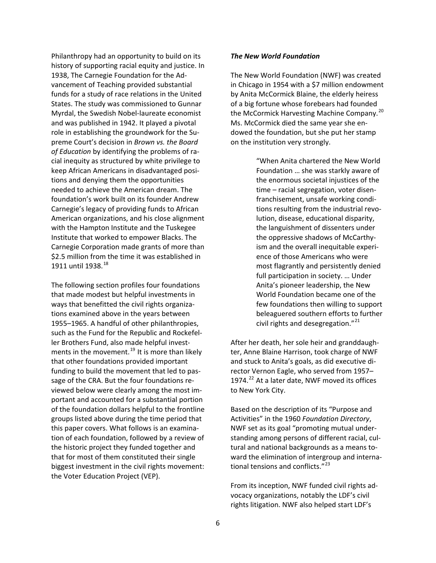Philanthropy had an opportunity to build on its history of supporting racial equity and justice. In 1938, The Carnegie Foundation for the Ad‐ vancement of Teaching provided substantial funds for a study of race relations in the United States. The study was commissioned to Gunnar Myrdal, the Swedish Nobel‐laureate economist and was published in 1942. It played a pivotal role in establishing the groundwork for the Su‐ preme Court's decision in *Brown vs. the Board of Education* by identifying the problems of ra‐ cial inequity as structured by white privilege to keep African Americans in disadvantaged posi‐ tions and denying them the opportunities needed to achieve the American dream. The foundation's work built on its founder Andrew Carnegie's legacy of providing funds to African American organizations, and his close alignment with the Hampton Institute and the Tuskegee Institute that worked to empower Blacks. The Carnegie Corporation made grants of more than \$2.5 million from the time it was established in 1911 until 1938.<sup>[18](#page-20-0)</sup>

The following section profiles four foundations that made modest but helpful investments in ways that benefitted the civil rights organiza‐ tions examined above in the years between 1955–1965. A handful of other philanthropies, such as the Fund for the Republic and Rockefel‐ ler Brothers Fund, also made helpful invest‐ ments in the movement.<sup>[19](#page-20-1)</sup> It is more than likely that other foundations provided important funding to build the movement that led to pas‐ sage of the CRA. But the four foundations re‐ viewed below were clearly among the most im‐ portant and accounted for a substantial portion of the foundation dollars helpful to the frontline groups listed above during the time period that this paper covers. What follows is an examina‐ tion of each foundation, followed by a review of the historic project they funded together and that for most of them constituted their single biggest investment in the civil rights movement: the Voter Education Project (VEP).

### *The New World Foundation*

The New World Foundation (NWF) was created in Chicago in 1954 with a \$7 million endowment by Anita McCormick Blaine, the elderly heiress of a big fortune whose forebears had founded the McCormick Harvesting Machine Company.<sup>[20](#page-20-2)</sup> Ms. McCormick died the same year she en‐ dowed the foundation, but she put her stamp on the institution very strongly.

> "When Anita chartered the New World Foundation … she was starkly aware of the enormous societal injustices of the time – racial segregation, voter disen‐ franchisement, unsafe working condi‐ tions resulting from the industrial revo‐ lution, disease, educational disparity, the languishment of dissenters under the oppressive shadows of McCarthy‐ ism and the overall inequitable experi‐ ence of those Americans who were most flagrantly and persistently denied full participation in society. … Under Anita's pioneer leadership, the New World Foundation became one of the few foundations then willing to support beleaguered southern efforts to further civil rights and desegregation."<sup>[21](#page-20-3)</sup>

After her death, her sole heir and granddaugh‐ ter, Anne Blaine Harrison, took charge of NWF and stuck to Anita's goals, as did executive di‐ rector Vernon Eagle, who served from 1957– 1974. $^{22}$  $^{22}$  $^{22}$  At a later date, NWF moved its offices to New York City.

Based on the description of its "Purpose and Activities" in the 1960 *Foundation Directory*, NWF set as its goal "promoting mutual under‐ standing among persons of different racial, cul‐ tural and national backgrounds as a means to‐ ward the elimination of intergroup and interna‐ tional tensions and conflicts."<sup>[23](#page-20-5)</sup>

From its inception, NWF funded civil rights ad‐ vocacy organizations, notably the LDF's civil rights litigation. NWF also helped start LDF's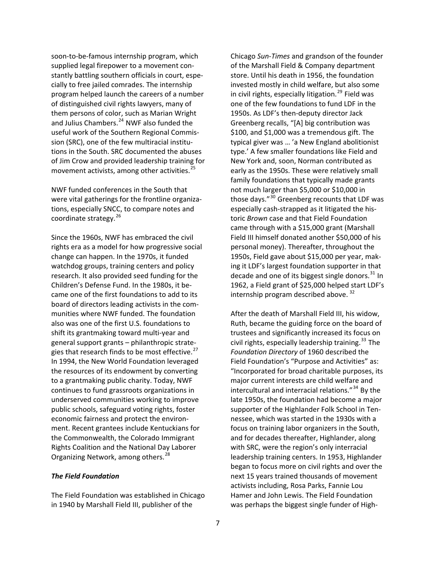soon-to-be-famous internship program, which supplied legal firepower to a movement con‐ stantly battling southern officials in court, espe‐ cially to free jailed comrades. The internship program helped launch the careers of a number of distinguished civil rights lawyers, many of them persons of color, such as Marian Wright and Julius Chambers.<sup>[24](#page-20-6)</sup> NWF also funded the useful work of the Southern Regional Commis‐ sion (SRC), one of the few multiracial institu‐ tions in the South. SRC documented the abuses of Jim Crow and provided leadership training for movement activists, among other activities.<sup>[25](#page-20-7)</sup>

NWF funded conferences in the South that were vital gatherings for the frontline organiza‐ tions, especially SNCC, to compare notes and coordinate strategy.<sup>[26](#page-20-8)</sup>

Since the 1960s, NWF has embraced the civil rights era as a model for how progressive social change can happen. In the 1970s, it funded watchdog groups, training centers and policy research. It also provided seed funding for the Children's Defense Fund. In the 1980s, it be‐ came one of the first foundations to add to its board of directors leading activists in the com‐ munities where NWF funded. The foundation also was one of the first U.S. foundations to shift its grantmaking toward multi‐year and general support grants – philanthropic strate‐ gies that research finds to be most effective.<sup>[27](#page-20-9)</sup> In 1994, the New World Foundation leveraged the resources of its endowment by converting to a grantmaking public charity. Today, NWF continues to fund grassroots organizations in underserved communities working to improve public schools, safeguard voting rights, foster economic fairness and protect the environ‐ ment. Recent grantees include Kentuckians for the Commonwealth, the Colorado Immigrant Rights Coalition and the National Day Laborer Organizing Network, among others.<sup>[28](#page-21-0)</sup>

### *The Field Foundation*

The Field Foundation was established in Chicago in 1940 by Marshall Field III, publisher of the

Chicago *Sun‐Times* and grandson of the founder of the Marshall Field & Company department store. Until his death in 1956, the foundation invested mostly in child welfare, but also some in civil rights, especially litigation.<sup>[29](#page-21-1)</sup> Field was one of the few foundations to fund LDF in the 1950s. As LDF's then‐deputy director Jack Greenberg recalls, "[A] big contribution was \$100, and \$1,000 was a tremendous gift. The typical giver was … 'a New England abolitionist type.' A few smaller foundations like Field and New York and, soon, Norman contributed as early as the 1950s. These were relatively small family foundations that typically made grants not much larger than \$5,000 or \$10,000 in those days."<sup>[30](#page-21-2)</sup> Greenberg recounts that LDF was especially cash‐strapped as it litigated the his‐ toric *Brown* case and that Field Foundation came through with a \$15,000 grant (Marshall Field III himself donated another \$50,000 of his personal money). Thereafter, throughout the 1950s, Field gave about \$15,000 per year, mak‐ ing it LDF's largest foundation supporter in that decade and one of its biggest single donors. $^{31}$  $^{31}$  $^{31}$  In 1962, a Field grant of \$25,000 helped start LDF's internship program described above.<sup>[32](#page-21-4)</sup>

After the death of Marshall Field III, his widow, Ruth, became the guiding force on the board of trustees and significantly increased its focus on civil rights, especially leadership training. $^{33}$  $^{33}$  $^{33}$  The *Foundation Directory* of 1960 described the Field Foundation's "Purpose and Activities" as: "Incorporated for broad charitable purposes, its major current interests are child welfare and intercultural and interracial relations."<sup>[34](#page-21-6)</sup> By the late 1950s, the foundation had become a major supporter of the Highlander Folk School in Ten‐ nessee, which was started in the 1930s with a focus on training labor organizers in the South, and for decades thereafter, Highlander, along with SRC, were the region's only interracial leadership training centers. In 1953, Highlander began to focus more on civil rights and over the next 15 years trained thousands of movement activists including, Rosa Parks, Fannie Lou Hamer and John Lewis. The Field Foundation was perhaps the biggest single funder of High‐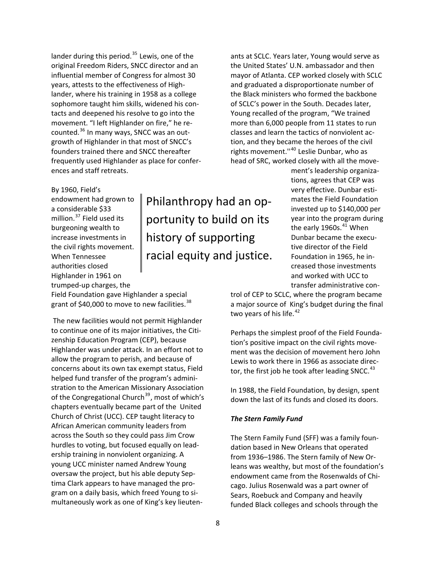lander during this period.<sup>[35](#page-21-7)</sup> Lewis, one of the original Freedom Riders, SNCC director and an influential member of Congress for almost 30 years, attests to the effectiveness of High‐ lander, where his training in 1958 as a college sophomore taught him skills, widened his contacts and deepened his resolve to go into the movement. "I left Highlander on fire," he re‐ counted.<sup>[36](#page-21-8)</sup> In many ways, SNCC was an outgrowth of Highlander in that most of SNCC's founders trained there and SNCC thereafter frequently used Highlander as place for confer‐ ences and staff retreats.

### By 1960, Field's

endowment had grown to a considerable \$33 million.<sup>[37](#page-21-9)</sup> Field used its burgeoning wealth to increase investments in the civil rights movement. When Tennessee authorities closed Highlander in 1961 on trumped‐up charges, the

Philanthropy had an op‐ portunity to build on its history of supporting racial equity and justice.

ants at SCLC. Years later, Young would serve as the United States' U.N. ambassador and then mayor of Atlanta. CEP worked closely with SCLC and graduated a disproportionate number of the Black ministers who formed the backbone of SCLC's power in the South. Decades later, Young recalled of the program, "We trained more than 6,000 people from 11 states to run classes and learn the tactics of nonviolent ac‐ tion, and they became the heroes of the civil rights movement."<sup>[40](#page-22-2)</sup> Leslie Dunbar, who as head of SRC, worked closely with all the move‐

> ment's leadership organiza ‐ tions, agrees that CEP was very effective. Dunbar esti‐ mates the Field Foundat ion invested up to \$140,000 pe r year into the program during the early 1960s.<sup>[41](#page-22-3)</sup> When Dunbar became the execu‐ tive director of the Field Foundation in 1965, he in‐ creased those investments and worked with UCC to transfer administrative con‐

trol of CEP to SCLC, where the program became a major source of King's budget during the final two years of his life.<sup>[42](#page-22-4)</sup>

Perhaps the simplest proof of the Field Founda‐ tion's positive impact on the civil rights move‐ ment was the decision of movement hero John Lewis to work there in 1966 as associate direc‐ tor, the first job he took after leading SNCC. $43$ 

In 1988, the Field Foundation, by design, spent down the last of its funds and closed its doors.

### *The Stern Family Fund*

The Stern Family Fund (SFF) was a family foun‐ dation based in New Orleans that operated from 1936–1986. The Stern family of New Or‐ leans was wealthy, but most of the foundation's endowment came from the Rosenwalds of Chi‐ cago. Julius Rosenwald was a part owner of Sears, Roebuck and Company and heavily funded Black colleges and schools through the

Field Foundation gave Highlander a special grant of \$40,000 to move to new facilities.<sup>[38](#page-22-0)</sup>

The new facilities would not permit Highlander to continue one of its major initiatives, the Citi‐ zenship Education Program (CEP), because Highlander was under attack. In an effort not to allow the program to perish, and because of concerns about its own tax exempt status, Field helped fund transfer of the program's admini‐ stration to the American Missionary Association of the Congregational Church<sup>[39](#page-22-1)</sup>, most of which's chapters eventually became part of the United Church of Christ (UCC). CEP taught literacy to African American community leaders from across the South so they could pass Jim Crow hurdles to voting, but focused equally on lead‐ ership training in nonviolent organizing. A young UCC minister named Andrew Young oversaw the project, but his able deputy Sep‐ tima Clark appears to have managed the pro‐ gram on a daily basis, which freed Young to si‐ multaneously work as one of King's key lieuten‐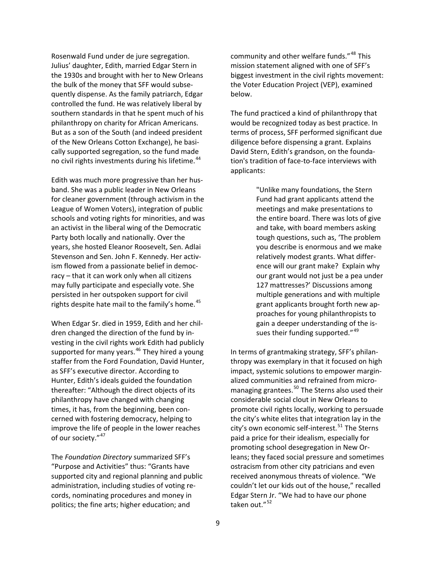Rosenwald Fund under de jure segregation. Julius' daughter, Edith, married Edgar Stern in the 1930s and brought with her to New Orleans the bulk of the money that SFF would subse‐ quently dispense. As the family patriarch, Edgar controlled the fund. He was relatively liberal by southern standards in that he spent much of his philanthropy on charity for African Americans. But as a son of the South (and indeed president of the New Orleans Cotton Exchange), he basi‐ cally supported segregation, so the fund made no civil rights investments during his lifetime.<sup>[44](#page-22-6)</sup>

Edith was much more progressive than her hus‐ band. She was a public leader in New Orleans for cleaner government (through activism in the League of Women Voters), integration of public schools and voting rights for minorities, and was an activist in the liberal wing of the Democratic Party both locally and nationally. Over the years, she hosted Eleanor Roosevelt, Sen. Adlai Stevenson and Sen. John F. Kennedy. Her activ‐ ism flowed from a passionate belief in democ‐ racy – that it can work only when all citizens may fully participate and especially vote. She persisted in her outspoken support for civil rights despite hate mail to the family's home. $45$ 

When Edgar Sr. died in 1959, Edith and her chil‐ dren changed the direction of the fund by in‐ vesting in the civil rights work Edith had publicly supported for many years. $46$  They hired a young staffer from the Ford Foundation, David Hunter, as SFF's executive director. According to Hunter, Edith's ideals guided the foundation thereafter: "Although the direct objects of its philanthropy have changed with changing times, it has, from the beginning, been con‐ cerned with fostering democracy, helping to improve the life of people in the lower reaches of our society."<sup>[47](#page-22-9)</sup>

The *Foundation Directory* summarized SFF's "Purpose and Activities" thus: "Grants have supported city and regional planning and public administration, including studies of voting re‐ cords, nominating procedures and money in politics; the fine arts; higher education; and

community and other welfare funds."<sup>[48](#page-22-10)</sup> This mission statement aligned with one of SFF's biggest investment in the civil rights movement: the Voter Education Project (VEP), examined below.

The fund practiced a kind of philanthropy that would be recognized today as best practice. In terms of process, SFF performed significant due diligence before dispensing a grant. Explains David Stern, Edith's grandson, on the founda‐ tion's tradition of face‐to‐face interviews with applicants:

> "Unlike many foundations, the Stern Fund had grant applicants attend the meetings and make presentations to the entire board. There was lots of give and take, with board members asking tough questions, such as, 'The problem you describe is enormous and we make relatively modest grants. What differ‐ ence will our grant make? Explain why our grant would not just be a pea under 127 mattresses?' Discussions among multiple generations and with multiple grant applicants brought forth new ap‐ proaches for young philanthropists to gain a deeper understanding of the is‐ sues their funding supported."<sup>[49](#page-22-11)</sup>

In terms of grantmaking strategy, SFF's philan‐ thropy was exemplary in that it focused on high impact, systemic solutions to empower margin‐ alized communities and refrained from micro‐ managing grantees.<sup>[50](#page-22-12)</sup> The Sterns also used their considerable social clout in New Orleans to promote civil rights locally, working to persuade the city's white elites that integration lay in the city's own economic self-interest.<sup>[51](#page-22-13)</sup> The Sterns paid a price for their idealism, especially for promoting school desegregation in New Or‐ leans; they faced social pressure and sometimes ostracism from other city patricians and even received anonymous threats of violence. "We couldn't let our kids out of the house," recalled Edgar Stern Jr. "We had to have our phone taken out."<sup>52</sup>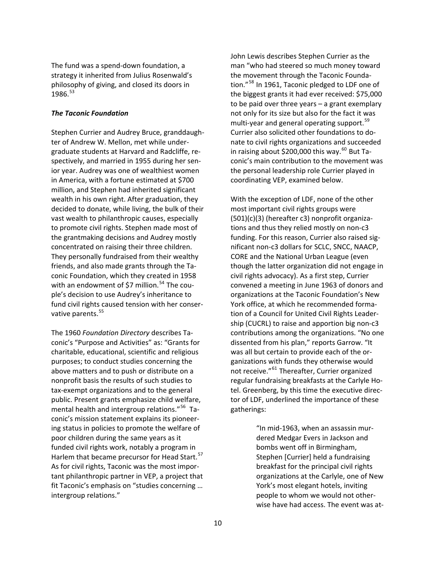The fund was a spend‐down foundation, a strategy it inherited from Julius Rosenwald's philosophy of giving, and closed its doors in 1986.53

## *The Taconic Foundation*

Stephen Currier and Audrey Bruce, granddaugh‐ ter of Andrew W. Mellon, met while under‐ graduate students at Harvard and Radcliffe, re‐ spectively, and married in 1955 during her sen‐ ior year. Audrey was one of wealthiest women in America, with a fortune estimated at \$700 million, and Stephen had inherited significant wealth in his own right. After graduation, they decided to donate, while living, the bulk of their vast wealth to philanthropic causes, especially to promote civil rights. Stephen made most of the grantmaking decisions and Audrey mostly concentrated on raising their three children. They personally fundraised from their wealthy friends, and also made grants through the Ta‐ conic Foundation, which they created in 1958 with an endowment of \$7 million.<sup>54</sup> The couple's decision to use Audrey's inheritance to fund civil rights caused tension with her conser‐ vative parents.<sup>55</sup>

The 1960 *Foundation Directory* describes Ta‐ conic's "Purpose and Activities" as: "Grants for charitable, educational, scientific and religious purposes; to conduct studies concerning the above matters and to push or distribute on a nonprofit basis the results of such studies to tax‐exempt organizations and to the general public. Present grants emphasize child welfare, mental health and intergroup relations."<sup>56</sup> Taconic's mission statement explains its pioneer‐ ing status in policies to promote the welfare of poor children during the same years as it funded civil rights work, notably a program in Harlem that became precursor for Head Start.<sup>57</sup> As for civil rights, Taconic was the most impor‐ tant philanthropic partner in VEP, a project that fit Taconic's emphasis on "studies concerning … intergroup relations."

John Lewis describes Stephen Currier as the man "who had steered so much money toward the movement through the Taconic Founda‐ tion."<sup>58</sup> In 1961, Taconic pledged to LDF one of the biggest grants it had ever received: \$75,000 to be paid over three years – a grant exemplary not only for its size but also for the fact it was multi-year and general operating support.<sup>59</sup> Currier also solicited other foundations to do‐ nate to civil rights organizations and succeeded in raising about \$200,000 this way. $^{60}$  But Taconic's main contribution to the movement was the personal leadership role Currier played in coordinating VEP, examined below.

With the exception of LDF, none of the other most important civil rights groups were (501)(c)(3) (hereafter c3) nonprofit organiza‐ tions and thus they relied mostly on non‐c3 funding. For this reason, Currier also raised sig‐ nificant non‐c3 dollars for SCLC, SNCC, NAACP, CORE and the National Urban League (even though the latter organization did not engage in civil rights advocacy). As a first step, Currier convened a meeting in June 1963 of donors and organizations at the Taconic Foundation's New York office, at which he recommended forma‐ tion of a Council for United Civil Rights Leader‐ ship (CUCRL) to raise and apportion big non‐c3 contributions among the organizations. "No one dissented from his plan," reports Garrow. "It was all but certain to provide each of the or‐ ganizations with funds they otherwise would not receive."<sup>61</sup> Thereafter, Currier organized regular fundraising breakfasts at the Carlyle Ho‐ tel. Greenberg, by this time the executive direc‐ tor of LDF, underlined the importance of these gatherings:

> "In mid‐1963, when an assassin mur‐ dered Medgar Evers in Jackson and bombs went off in Birmingham, Stephen [Currier] held a fundraising breakfast for the principal civil rights organizations at the Carlyle, one of New York's most elegant hotels, inviting people to whom we would not other‐ wise have had access. The event was at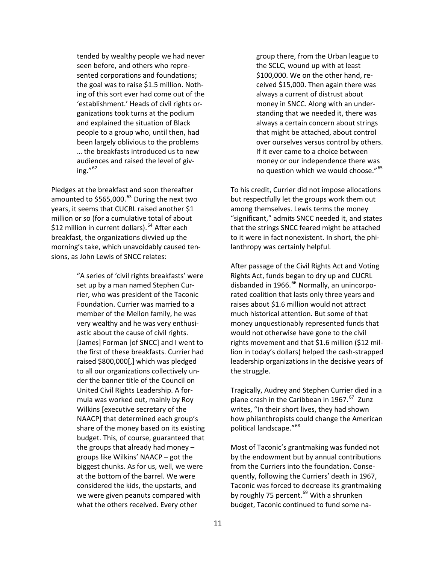tended by wealthy people we had never seen before, and others who repre‐ sented corporations and foundations; the goal was to raise \$1.5 million. Noth‐ ing of this sort ever had come out of the 'establishment.' Heads of civil rights or‐ ganizations took turns at the podium and explained the situation of Black people to a group who, until then, had been largely oblivious to the problems … the breakfasts introduced us to new audiences and raised the level of giv‐ ing." $62$ 

Pledges at the breakfast and soon thereafter amounted to \$565,000.<sup>63</sup> During the next two years, it seems that CUCRL raised another \$1 million or so (for a cumulative total of about \$12 million in current dollars).<sup>64</sup> After each breakfast, the organizations divvied up the morning's take, which unavoidably caused ten‐ sions, as John Lewis of SNCC relates:

> "A series of 'civil rights breakfasts' were set up by a man named Stephen Currier, who was president of the Taconic Foundation. Currier was married to a member of the Mellon family, he was very wealthy and he was very enthusi‐ astic about the cause of civil rights. [James] Forman [of SNCC] and I went to the first of these breakfasts. Currier had raised \$800,000[,] which was pledged to all our organizations collectively un‐ der the banner title of the Council on United Civil Rights Leadership. A for‐ mula was worked out, mainly by Roy Wilkins [executive secretary of the NAACP] that determined each group's share of the money based on its existing budget. This, of course, guaranteed that the groups that already had money – groups like Wilkins' NAACP – got the biggest chunks. As for us, well, we were at the bottom of the barrel. We were considered the kids, the upstarts, and we were given peanuts compared with what the others received. Every other

group there, from the Urban league to the SCLC, wound up with at least \$100,000. We on the other hand, received \$15,000. Then again there was always a current of distrust about money in SNCC. Along with an under‐ standing that we needed it, there was always a certain concern about strings that might be attached, about control over ourselves versus control by others. If it ever came to a choice between money or our independence there was no question which we would choose."<sup>65</sup>

To his credit, Currier did not impose allocations but respectfully let the groups work them out among themselves. Lewis terms the money "significant," admits SNCC needed it, and states that the strings SNCC feared might be attached to it were in fact nonexistent. In short, the phi‐ lanthropy was certainly helpful.

After passage of the Civil Rights Act and Voting Rights Act, funds began to dry up and CUCRL disbanded in 1966.<sup>66</sup> Normally, an unincorporated coalition that lasts only three years and raises about \$1.6 million would not attract much historical attention. But some of that money unquestionably represented funds that would not otherwise have gone to the civil rights movement and that \$1.6 million (\$12 mil‐ lion in today's dollars) helped the cash‐strapped leadership organizations in the decisive years of the struggle.

Tragically, Audrey and Stephen Currier died in a plane crash in the Caribbean in 1967.<sup>67</sup> Zunz writes, "In their short lives, they had shown how philanthropists could change the American political landscape."<sup>68</sup>

Most of Taconic's grantmaking was funded not by the endowment but by annual contributions from the Curriers into the foundation. Conse‐ quently, following the Curriers' death in 1967, Taconic was forced to decrease its grantmaking by roughly 75 percent.<sup>69</sup> With a shrunken budget, Taconic continued to fund some na‐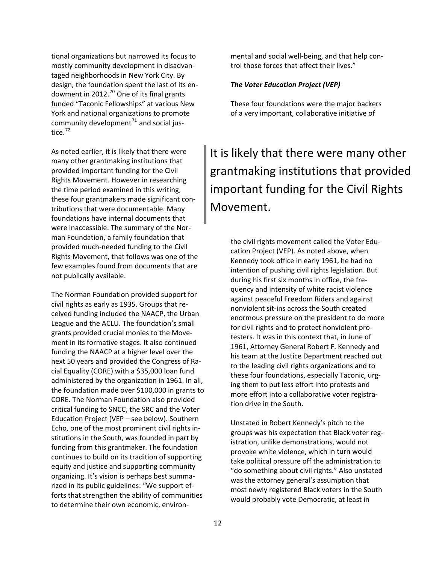tional organizations but narrowed its focus to mostly community development in disadvan‐ taged neighborhoods in New York City. By design, the foundation spent the last of its en‐ dowment in 2012. $^{70}$  One of its final grants funded "Taconic Fellowships" at various New York and national organizations to promote community development<sup>71</sup> and social justice. $72$ 

As noted earlier, it is likely that there were many other grantmaking institutions that provided important funding for the Civil Rights Movement. However in researching the time period examined in this writing, these four grantmakers made significant con‐ tributions that were documentable. Many foundations have internal documents that were inaccessible. The summary of the Norman Foundation, a family foundation that provided much‐needed funding to the Civil Rights Movement, that follows was one of the few examples found from documents that are not publically available.

The Norman Foundation provided support for civil rights as early as 1935. Groups that re‐ ceived funding included the NAACP, the Urban League and the ACLU. The foundation's small grants provided crucial monies to the Move‐ ment in its formative stages. It also continued funding the NAACP at a higher level over the next 50 years and provided the Congress of Ra‐ cial Equality (CORE) with a \$35,000 loan fund administered by the organization in 1961. In all, the foundation made over \$100,000 in grants to CORE. The Norman Foundation also provided critical funding to SNCC, the SRC and the Voter Education Project (VEP – see below). Southern Echo, one of the most prominent civil rights in‐ stitutions in the South, was founded in part by funding from this grantmaker. The foundation continues to build on its tradition of supporting equity and justice and supporting community organizing. It's vision is perhaps best summa‐ rized in its public guidelines: "We support ef‐ forts that strengthen the ability of communities to determine their own economic, environ‐

mental and social well‐being, and that help con‐ trol those forces that affect their lives."

### *The Voter Education Project (VEP)*

These four foundations were the major backers of a very important, collaborative initiative of

# It is likely that there were many other grantmaking institutions that provided important funding for the Civil Rights Movement.

the civil rights movement called the Voter Edu‐ cation Project (VEP). As noted above, when Kennedy took office in early 1961, he had no intention of pushing civil rights legislation. But during his first six months in office, the fre‐ quency and intensity of white racist violence against peaceful Freedom Riders and against nonviolent sit‐ins across the South created enormous pressure on the president to do more for civil rights and to protect nonviolent pro‐ testers. It was in this context that, in June of 1961, Attorney General Robert F. Kennedy and his team at the Justice Department reached out to the leading civil rights organizations and to these four foundations, especially Taconic, urg‐ ing them to put less effort into protests and more effort into a collaborative voter registra‐ tion drive in the South.

Unstated in Robert Kennedy's pitch to the groups was his expectation that Black voter reg‐ istration, unlike demonstrations, would not provoke white violence, which in turn would take political pressure off the administration to "do something about civil rights." Also unstated was the attorney general's assumption that most newly registered Black voters in the South would probably vote Democratic, at least in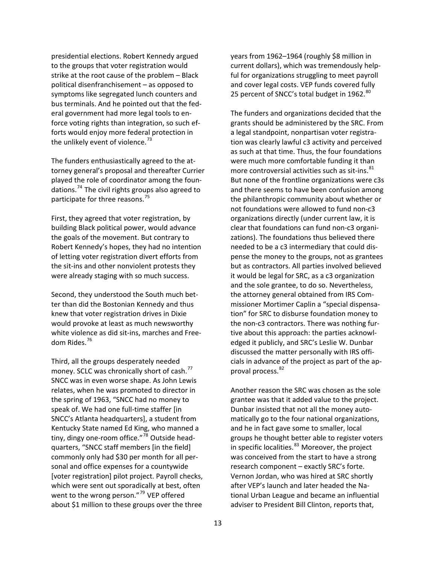presidential elections. Robert Kennedy argued to the groups that voter registration would strike at the root cause of the problem – Black political disenfranchisement – as opposed to symptoms like segregated lunch counters and bus terminals. And he pointed out that the fed‐ eral government had more legal tools to en‐ force voting rights than integration, so such ef‐ forts would enjoy more federal protection in the unlikely event of violence. $^{73}$ 

The funders enthusiastically agreed to the at‐ torney general's proposal and thereafter Currier played the role of coordinator among the foun‐ dations.<sup>74</sup> The civil rights groups also agreed to participate for three reasons.<sup>75</sup>

First, they agreed that voter registration, by building Black political power, would advance the goals of the movement. But contrary to Robert Kennedy's hopes, they had no intention of letting voter registration divert efforts from the sit‐ins and other nonviolent protests they were already staging with so much success.

Second, they understood the South much bet‐ ter than did the Bostonian Kennedy and thus knew that voter registration drives in Dixie would provoke at least as much newsworthy white violence as did sit‐ins, marches and Free‐ dom Rides.<sup>76</sup>

Third, all the groups desperately needed money. SCLC was chronically short of cash.<sup>77</sup> SNCC was in even worse shape. As John Lewis relates, when he was promoted to director in the spring of 1963, "SNCC had no money to speak of. We had one full‐time staffer [in SNCC's Atlanta headquarters], a student from Kentucky State named Ed King, who manned a tiny, dingy one-room office."<sup>78</sup> Outside headquarters, "SNCC staff members [in the field] commonly only had \$30 per month for all per‐ sonal and office expenses for a countywide [voter registration] pilot project. Payroll checks, which were sent out sporadically at best, often went to the wrong person."<sup>79</sup> VEP offered about \$1 million to these groups over the three years from 1962–1964 (roughly \$8 million in current dollars), which was tremendously help ‐ ful for organizations struggling to meet payro ll and cover legal costs. VEP funds covered fully 25 percent of SNCC's total budget in 1962. $^{80}$ 

The funders and organizations decided that the grants should be administered by the SRC. From a legal standpoint, nonpartisan voter registra‐ tion was clearly lawful c3 activity and perceived as such at that time. Thus, the four foundations were much more comfortable funding it than more controversial activities such as sit-ins.<sup>81</sup> But none of the frontline organizations were c3s and there seems to have been confusion among the philanthropic community about whether or not foundations were allowed to fund non‐c3 organizations directly (under current law, it is clear that foundations can fund non‐c3 organi‐ zations). The foundations thus believed there needed to be a c3 intermediary that could dis‐ pense the money to the groups, not as grantees but as contractors. All parties involved believed it would be legal for SRC, as a c3 organization and the sole grantee, to do so. Nevertheless, the attorney general obtained from IRS Com‐ missioner Mortimer Caplin a "special dispensa‐ tion" for SRC to disburse foundation money to the non‐c3 contractors. There was nothing fur‐ tive about this approach: the parties acknowl‐ edged it publicly, and SRC's Leslie W. Dunbar discussed the matter personally with IRS offi‐ cials in advance of the project as part of the ap‐ proval process.<sup>82</sup>

Another reason the SRC was chosen as the sole grantee was that it added value to the project. Dunbar insisted that not all the money auto‐ matically go to the four national organizations, and he in fact gave some to smaller, local groups he thought better able to register voters in specific localities. $83$  Moreover, the project was conceived from the start to have a strong research component – exactly SRC's forte. Vernon Jordan, who was hired at SRC shortly after VEP's launch and later headed the Na‐ tional Urban League and became an influential adviser to President Bill Clinton, reports that,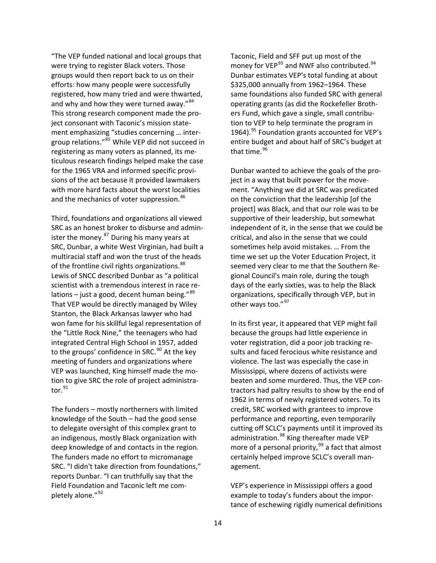"The VEP funded national and local groups that were trying to register Black voters. Those groups would then report back to us on their efforts: how many people were successfully registered, how many tried and were thwarted, and why and how they were turned away."<sup>84</sup> This strong research component made the pro‐ ject consonant with Taconic's mission state‐ ment emphasizing "studies concerning … inter‐ group relations."<sup>85</sup> While VEP did not succeed in registering as many voters as planned, its me‐ ticulous research findings helped make the case for the 1965 VRA and informed specific provi‐ sions of the act because it provided lawmakers with more hard facts about the worst localities and the mechanics of voter suppression.<sup>86</sup>

Third, foundations and organizations all viewed SRC as an honest broker to disburse and admin‐ ister the money. $87$  During his many years at SRC, Dunbar, a white West Virginian, had built a multiracial staff and won the trust of the heads of the frontline civil rights organizations.  $^{88}$ integrated Central High School in 1957, added tion to give SRC the role of project administrator. $^{91}$ Lewis of SNCC described Dunbar as "a political scientist with a tremendous interest in race re‐ lations – just a good, decent human being." $89$ That VEP would be directly managed by Wiley Stanton, the Black Arkansas lawyer who had won fame for his skillful legal representation of the "Little Rock Nine," the teenagers who had to the groups' confidence in SRC.<sup>90</sup> At the key meeting of funders and organizations where VEP was launched, King himself made the mo‐

. deep knowledge of and contacts in the region SRC. "I didn't take direction from foundations," e reports Dunbar. "I can truthfully say that th Field Foundation and Taconic left me com-The funders – mostly northerners with limited knowledge of the South – had the good sense to delegate oversight of this complex grant to an indigenous, mostly Black organization with The funders made no effort to micromanage pletely alone."<sup>92</sup>

money for VEP<sup>93</sup> and NWF also contributed.<sup>94</sup> same foundations also funded SRC with general 1964).<sup>95</sup> Foundation grants accounted for VEP's entire budget and about half of SRC's budget at Taconic, Field and SFF put up most of the Dunbar estimates VEP's total funding at about \$325,000 annually from 1962–1964. These operating grants (as did the Rockefeller Broth‐ ers Fund, which gave a single, small contribu‐ tion to VEP to help terminate the program in that time.<sup>96</sup>

supportive of their leadership, but somewhat independent of it, in the sense that we could be days of the early sixties, was to help the Black organizations, specifically through VEP, but in Dunbar wanted to achieve the goals of the pro‐ ject in a way that built power for the move‐ ment. "Anything we did at SRC was predicated on the conviction that the leadership [of the project] was Black, and that our role was to be critical, and also in the sense that we could sometimes help avoid mistakes. … From the time we set up the Voter Education Project, it seemed very clear to me that the Southern Re‐ gional Council's main role, during the tough other ways too."<sup>97</sup>

l In its first year, it appeared that VEP might fai sults and faced ferocious white resistance and tractors had paltry results to show by the end of performance and reporting, even temporarily more of a personal priority,<sup>99</sup> a fact that almost ertainly helped improve SCLC's overall man‐ c because the groups had little experience in voter registration, did a poor job tracking re‐ violence. The last was especially the case in Mississippi, where dozens of activists were beaten and some murdered. Thus, the VEP con‐ 1962 in terms of newly registered voters. To its credit, SRC worked with grantees to improve cutting off SCLC's payments until it improved its administration.<sup>98</sup> King thereafter made VEP agement.

‐ example to today's funders about the impor VEP's experience in Mississippi offers a good tance of eschewing rigidly numerical definitions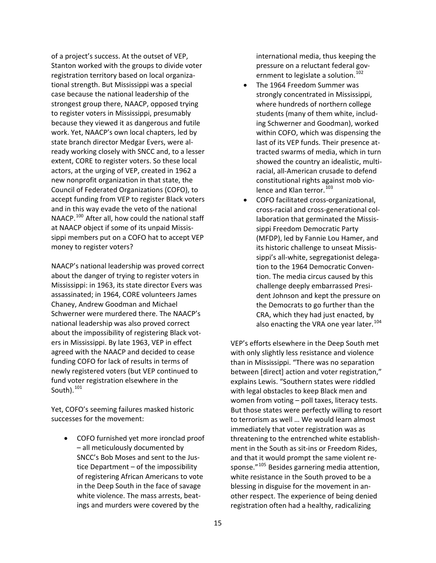of a project's success. At the outset of VEP, Stanton worked with the groups to divide vot er registration territory based on local organiza ‐ tional strength. But Mississippi was a special case because the national leadership of the strongest group there, NAACP, opposed trying to register voters in Mississippi, presumably because they viewed it as dangerous and futi le work. Yet, NAACP's own local chapters, led by state branch director Medgar Evers, were al‐ ready working closely with SNCC and, to a lesse r extent, CORE to register voters. So these local actors, at the urging of VEP, created in 1962 a new nonprofit organization in that state, the Council of Federated Organizations (COFO), to accept funding from VEP to register Black voters and in this way evade the veto of the nationa l NAACP.<sup>100</sup> After all, how could the national staff at NAACP object if some of its unpaid Mississippi members put on a COFO hat to accept VEP money to register voters?

Mississippi: in 1963, its state director Evers was ‐ about the impossibility of registering Black vot funding COFO for lack of results in terms of newly registered voters (but VEP continued to fund voter registration elsewhere in the NAACP's national leadership was proved correct about the danger of trying to register voters in assassinated; in 1964, CORE volunteers James Chaney, Andrew Goodman and Michael Schwerner were murdered there. The NAACP's national leadership was also proved correct ers in Mississippi. By late 1963, VEP in effect agreed with the NAACP and decided to cease South). $101$ 

Yet, COFO's seeming failures masked historic successes for the movement:

• COFO furnished yet more ironclad proof ings and murders were covered by the – all meticulously documented by SNCC's Bob Moses and sent to the Jus‐ tice Department – of the impossibility of registering African Americans to vote in the Deep South in the face of savage white violence. The mass arrests, beat‐

international media, thus keeping the ‐ pressure on a reluctant federal gov ernment to legislate a solution.<sup>102</sup>

- ‐ showed the country an idealistic, multi constitutional rights against mob vio- The 1964 Freedom Summer was strongly concentrated in Mississippi, where hundreds of northern college students (many of them white, includ‐ ing Schwerner and Goodman), worked within COFO, which was dispensing the last of its VEP funds. Their presence at‐ tracted swarms of media, which in turn racial, all‐American crusade to defend lence and Klan terror.<sup>103</sup>
- laboration that germinated the Missis-‐ sippi's all‐white, segregationist delega also enacting the VRA one year later.<sup>104</sup> ● COFO facilitated cross-organizational, cross‐racial and cross‐generational col‐ sippi Freedom Democratic Party (MFDP), led by Fannie Lou Hamer, and its historic challenge to unseat Missis‐ tion to the 1964 Democratic Conven‐ tion. The media circus caused by this challenge deeply embarrassed Presi‐ dent Johnson and kept the pressure on the Democrats to go further than the CRA, which they had just enacted, by

between [direct] action and voter registration," explains Lewis. "Southern states were riddled But those states were perfectly willing to resort to terrorism as well ... We would learn almost sponse."<sup>105</sup> Besides garnering media attention, VEP's efforts elsewhere in the Deep South met with only slightly less resistance and violence than in Mississippi. "There was no separation with legal obstacles to keep Black men and women from voting – poll taxes, literacy tests. immediately that voter registration was as threatening to the entrenched white establish‐ ment in the South as sit‐ins or Freedom Rides, and that it would prompt the same violent re‐ white resistance in the South proved to be a blessing in disguise for the movement in an‐ other respect. The experience of being denied registration often had a healthy, radicalizing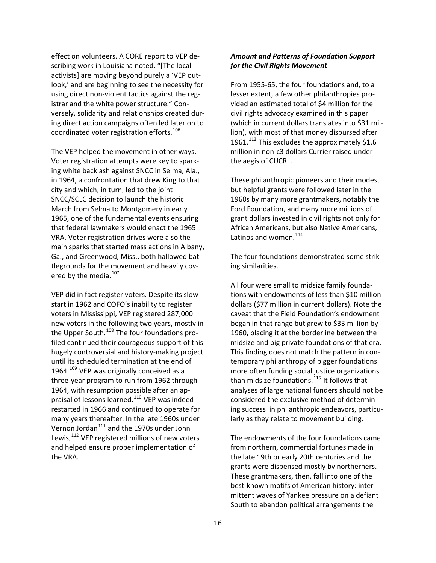effect on volunteers. A CORE report to VEP de ‐ scribing work in Louisiana noted, "[The local activists] are moving beyond purely a 'VEP out‐ look,' and are beginning to see the necessity for using direct non‐violent tactics against the r eg‐ istrar and the white power structure." Con‐ versely, solidarity and relationships created dur‐ ing direct action campaigns often led later on to coordinated voter registration efforts.<sup>106</sup>

in 1964, a confrontation that drew King to that tlegrounds for the movement and heavily covered by the media.<sup>107</sup> The VEP helped the movement in other ways. Voter registration attempts were key to spark‐ ing white backlash against SNCC in Selma, Ala., city and which, in turn, led to the joint SNCC/SCLC decision to launch the historic March from Selma to Montgomery in early 1965, one of the fundamental events ensuring that federal lawmakers would enact the 1965 VRA. Voter registration drives were also the main sparks that started mass actions in Albany, Ga., and Greenwood, Miss., both hallowed bat‐

hugely controversial and history-making project h three‐year program to run from 1962 throug many years thereafter. In the late 1960s under and helped ensure proper implementation of the VRA. VEP did in fact register voters. Despite its slow start in 1962 and COFO's inability to register voters in Mississippi, VEP registered 287,000 new voters in the following two years, mostly in the Upper South.<sup>108</sup> The four foundations profiled continued their courageous support of this until its scheduled termination at the end of 1964. $109$  VEP was originally conceived as a 1964, with resumption possible after an ap‐ praisal of lessons learned.<sup>110</sup> VEP was indeed restarted in 1966 and continued to operate for Vernon Jordan<sup>111</sup> and the 1970s under John Lewis,<sup>112</sup> VEP registered millions of new voters

## *Amount and Patterns of Foundation Support for the Civil Rights Movement*

From 1955‐65, the four foundations and, to a lesser extent, a few other philanthropies pro‐ vided an estimated total of \$4 million for the civil rights advocacy examined in this paper (which in current dollars translates into \$31 mil‐ lion), with most of that money disbursed after 1961.<sup>113</sup> This excludes the approximately \$1.6 million in non‐c3 dollars Currier raised under the aegis of CUCRL.

These philanthropic pioneers and their modest but helpful grants were followed later in the 1960s by many more grantmakers, notably the Ford Foundation, and many more millions of grant dollars invested in civil rights not only for African Americans, but also Native Americans, Latinos and women.<sup>114</sup>

The four foundations demonstrated some strik‐ ing similarities.

All four were small to midsize family founda‐ tions with endowments of less than \$10 million dollars (\$77 million in current dollars). Note the caveat that the Field Foundation's endowment began in that range but grew to \$33 million by 1960, placing it at the borderline between the midsize and big private foundations of that era. This finding does not match the pattern in con‐ temporary philanthropy of bigger foundations more often funding social justice organizations than midsize foundations.<sup>115</sup> It follows that analyses of large national funders should not be considered the exclusive method of determin‐ ing success in philanthropic endeavors, particu‐ larly as they relate to movement building.

The endowments of the four foundations came from northern, commercial fortunes made in the late 19th or early 20th centuries and the grants were dispensed mostly by northerners. These grantmakers, then, fall into one of the best‐known motifs of American history: inter‐ mittent waves of Yankee pressure on a defiant South to abandon political arrangements the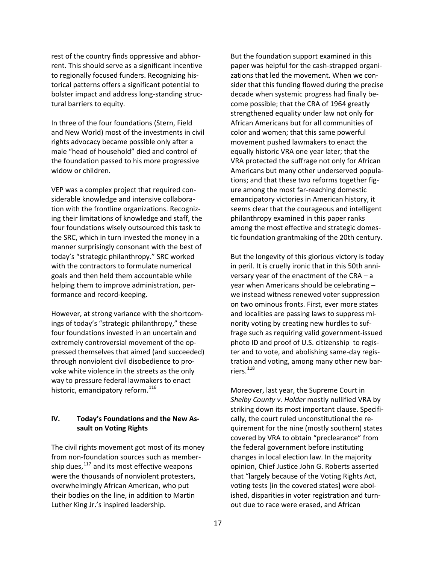rest of the country finds oppressive and abhor‐ rent. This should serve as a significant incentive to regionally focused funders. Recognizing his‐ torical patterns offers a significant potential to bolster impact and address long‐standing struc‐ tural barriers to equity.

In three of the four foundations (Stern, Field and New World) most of the investments in civil rights advocacy became possible only after a male "head of household" died and control of the foundation passed to his more progressive widow or children.

VEP was a complex project that required con‐ siderable knowledge and intensive collabora‐ tion with the frontline organizations. Recogniz‐ ing their limitations of knowledge and staff, the four foundations wisely outsourced this task to the SRC, which in turn invested the money in a manner surprisingly consonant with the best of today's "strategic philanthropy." SRC worked with the contractors to formulate numerical goals and then held them accountable while helping them to improve administration, per‐ formance and record‐keeping.

However, at strong variance with the shortcom‐ ings of today's "strategic philanthropy," these four foundations invested in an uncertain and extremely controversial movement of the op‐ pressed themselves that aimed (and succeeded) through nonviolent civil disobedience to pro‐ voke white violence in the streets as the only way to pressure federal lawmakers to enact historic, emancipatory reform.<sup>116</sup>

## **IV. Today's Foundations and the New As‐ sault on Voting Rights**

The civil rights movement got most of its money from non-foundation sources such as membership dues, $^{117}$  and its most effective weapons were the thousands of nonviolent protesters, overwhelmingly African American, who put their bodies on the line, in addition to Martin Luther King Jr.'s inspired leadership.

But the foundation support examined in this paper was helpful for the cash‐strapped organi‐ zations that led the movement. When we con‐ sider that this funding flowed during the precise decade when systemic progress had finally be‐ come possible; that the CRA of 1964 greatly strengthened equality under law not only for African Americans but for all communities of color and women; that this same powerful movement pushed lawmakers to enact the equally historic VRA one year later; that the VRA protected the suffrage not only for African Americans but many other underserved popula‐ tions; and that these two reforms together fig‐ ure among the most far‐reaching domestic emancipatory victories in American history, it seems clear that the courageous and intelligent philanthropy examined in this paper ranks among the most effective and strategic domes‐ tic foundation grantmaking of the 20th century.

But the longevity of this glorious victory is today in peril. It is cruelly ironic that in this 50th anni‐ versary year of the enactment of the CRA – a year when Americans should be celebrating – we instead witness renewed voter suppression on two ominous fronts. First, ever more states and localities are passing laws to suppress mi‐ nority voting by creating new hurdles to suf‐ frage such as requiring valid government‐issued photo ID and proof of U.S. citizenship to regis‐ ter and to vote, and abolishing same‐day regis‐ tration and voting, among many other new bar‐ riers.<sup>118</sup>

Moreover, last year, the Supreme Court in *Shelby County v. Holder* mostly nullified VRA by striking down its most important clause. Specifi‐ cally, the court ruled unconstitutional the re‐ quirement for the nine (mostly southern) states covered by VRA to obtain "preclearance" from the federal government before instituting changes in local election law. In the majority opinion, Chief Justice John G. Roberts asserted that "largely because of the Voting Rights Act, voting tests [in the covered states] were abol‐ ished, disparities in voter registration and turn‐ out due to race were erased, and African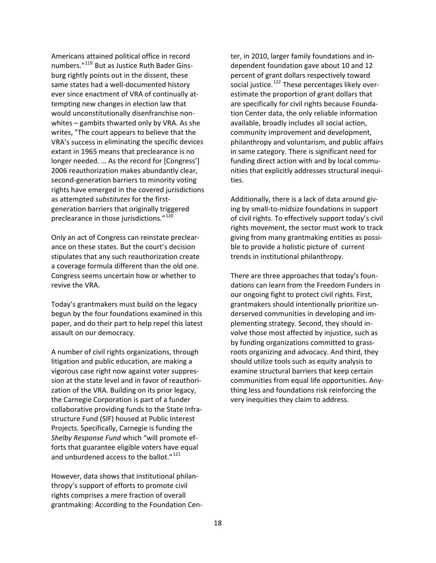Americans attained political office in record numbers."<sup>119</sup> But as Justice Ruth Bader Ginsburg rightly points out in the dissent, these same states had a well‐documented history ever since enactment of VRA of continually at ‐ tempting new changes in election law that would unconstitutionally disenfranchise non‐ whites – gambits thwarted only by VRA. As she writes, "The court appears to believe that the VRA's success in eliminating the specific dev ices extant in 1965 means that preclearance is n o longer needed. … As the record for [Congress'] 2006 reauthorization makes abundantly clear, second‐generation barriers to minority votin g rights have emerged in the covered jurisdictions as attempted *substitutes* for the first‐ generation barriers that originally triggered preclearance in those jurisdictions."<sup>120</sup>

Only an act of Congress can reinstate preclear‐ ance on these states. But the court's decision stipulates that any such reauthorization create a coverage formula different than the old one. Congress seems uncertain how or whether to revive the VRA.

Today's grantmakers must build on the legacy begun by the four foundations examined in this paper, and do their part to help repel this latest assault on our democracy.

A number of civil rights organizations, through litigation and public education, are making a vigorous case right now against voter suppres‐ sion at the state level and in favor of reauthori‐ zation of the VRA. Building on its prior legacy, the Carnegie Corporation is part of a funder collaborative providing funds to the State Infra‐ structure Fund (SIF) housed at Public Interest Projects. Specifically, Carnegie is funding the *Shelby Response Fund* which "will promote ef‐ forts that guarantee eligible voters have equal and unburdened access to the ballot."<sup>121</sup>

However, data shows that institutional philan‐ thropy's support of efforts to promote civil rights comprises a mere fraction of overall grantmaking: According to the Foundation Cen‐

ter, in 2010, larger family foundations and in‐ dependent foundation gave about 10 and 12 percent of grant dollars respectively toward social justice.<sup>122</sup> These percentages likely overestimate the proportion of grant dollars that are specifically for civil rights because Founda‐ tion Center data, the only reliable information available, broadly includes all social action, community improvement and development, philanthropy and voluntarism, and public affairs in same category. There is significant need for funding direct action with and by local commu‐ nities that explicitly addresses structural inequi‐ ties.

Additionally, there is a lack of data around giv‐ ing by small‐to‐midsize foundations in support of civil rights. To effectively support today's civil rights movement, the sector must work to track giving from many grantmaking entities as possi‐ ble to provide a holistic picture of current trends in institutional philanthropy.

There are three approaches that today's foun‐ dations can learn from the Freedom Funders in our ongoing fight to protect civil rights. First, grantmakers should intentionally prioritize un‐ derserved communities in developing and im‐ plementing strategy. Second, they should in‐ volve those most affected by injustice, such as by funding organizations committed to grass‐ roots organizing and advocacy. And third, they should utilize tools such as equity analysis to examine structural barriers that keep certain communities from equal life opportunities. Any‐ thing less and foundations risk reinforcing the very inequities they claim to address.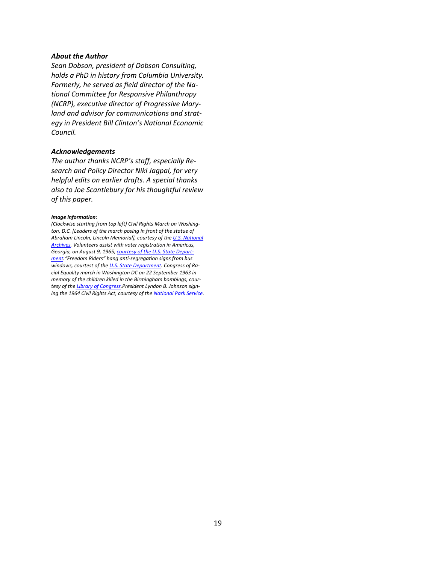### *About the Author*

*Sean Dobson, president of Dobson Consulting, holds a PhD in history from Columbia University. Formerly, he served as field director of the Na‐ tional Committee for Responsive Philanthropy (NCRP), executive director of Progressive Mary‐ land and advisor for communications and strat‐ egy in President Bill Clinton's National Economic*  $Count.$ 

### *Acknowledgements*

*The author thanks NCRP's staff, especially Re‐ search and Policy Director Niki Jagpal, for very helpful edits on earlier drafts. A special thanks also to Joe Scantlebury for his thoughtful review of this paper.*

#### *Image information*:

*(Clockwise starting from top left) Civil Rights March on Washing‐ ton, D.C. [Leaders of the march posing in front of the statue of Abraham Lincoln, Lincoln Memorial], courtesy of the U.S. [National](https://www.flickr.com/photos/usnationalarchives/4923598333/) [Archives](https://www.flickr.com/photos/usnationalarchives/4923598333/). Volunteers assist with voter registration in Americus, Georgia, on August 9, 1965, [courtesy](http://iipdigital.usembassy.gov/st/english/gallery/2011/10/20111017162959su0.1449963.html#axzz34Fb7fkD3) of the U.S. State Depart‐ [ment.](http://iipdigital.usembassy.gov/st/english/gallery/2011/10/20111017162959su0.1449963.html#axzz34Fb7fkD3)"Freedom Riders" hang anti‐segregation signs from bus windows, courtest of the U.S. State [Department](http://iipdigital.usembassy.gov/st/english/gallery/2011/10/20111017162959su0.1449963.html#axzz34Fb7fkD3). Congress of Ra‐ cial Equality march in Washington DC on 22 September 1963 in memory of the children killed in the Birmingham bombings, cour‐ tesy of the Library of [Congress.](http://en.wikipedia.org/wiki/African-American_Civil_Rights_Movement_%281954%E2%80%9368%29#mediaviewer/File:Congress_of_Racial_Equality_and_members_of_the_All_Souls_Church,_Unitarian_march_in_memory_of_the_16th_Street_Baptist_Church_bombing_victims.jpg)President Lyndon B. Johnson sign‐ ing the 1964 Civil Rights Act, courtesy of the [National](http://www.nps.gov/nr/travel/civilrights/prize.htm) Park Service.*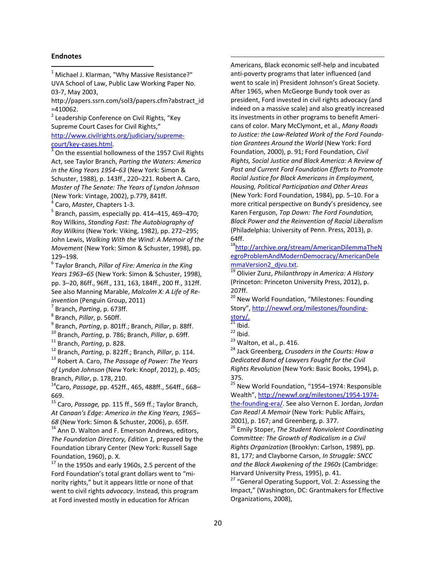### **Endnotes**

<span id="page-19-0"></span> $1$  Michael J. Klarman, "Why Massive Resistance?" UVA School of Law, Public Law Working Paper No. 03‐7, May 2003,

http://papers.ssrn.com/sol3/papers.cfm?abstract\_id =410062.<br><sup>2</sup> Leadership Conference on Civil Rights, "Key

<span id="page-19-1"></span>Supreme Court Cases for Civil Rights," [http://www.civilrights.org/judiciary/supreme](http://www.civilrights.org/judiciary/supreme-court/key-cases.html)‐

<span id="page-19-2"></span> $\frac{\text{court/key-cases.html}}{3}$  On the essential hollowness of the 1957 Civil Rights Act, see Taylor Branch, *Parting the Waters: America in the King Years 1954–63* (New York: Simon & Schuster, 1988), p. 143ff., 220–221. Robert A. Caro, *Master of The Senate: The Years of Lyndon Johnson* (New York: Vintage, 2002), p.779, 841ff.<br><sup>4</sup> Caro, *Master*, Chapters 1-3.<br><sup>5</sup> Branch, passim, especially pp. 414–415, 469–470;

<span id="page-19-3"></span>

<span id="page-19-4"></span>Roy Wilkins, *Standing Fast: The Autobiography of Roy Wilkins* (New York: Viking, 1982), pp. 272–295; John Lewis, *Walking With the Wind: A Memoir of the Movement* (New York: Simon & Schuster, 1998), pp. 129–198.

<span id="page-19-5"></span><sup>6</sup> Taylor Branch, *Pillar of Fire: America in the King Years 1963–65* (New York: Simon & Schuster, 1998), pp. 3–20, 86ff., 96ff., 131, 163, 184ff., 200 ff., 312ff. See also Manning Marable, *Malcolm X: A Life of Re‐*

<span id="page-19-6"></span>

<span id="page-19-7"></span>

<span id="page-19-8"></span>

<span id="page-19-9"></span>

<span id="page-19-10"></span>

invention (Penguin Group, 2011)<br>
<sup>7</sup> Branch, *Parting*, p. 673ff.<br>
<sup>8</sup> Branch, *Pillar*, p. 560ff.<br>
<sup>9</sup> Branch, *Parting*, p. 801ff.; Branch, *Pillar*, p. 88ff.<br>
<sup>10</sup> Branch, *Parting*, p. 786; Branch, *Pillar*, p. 69ff.<br>

<span id="page-19-12"></span><span id="page-19-11"></span>*of Lyndon Johnson* (New York: Knopf, 2012), p. 405; Branch, *Pillar*, p. 178, 210.<br><sup>14</sup>Caro, *Passage*, pp. 452ff., 465, 488ff., 564ff., 668–

<span id="page-19-13"></span>669.

<span id="page-19-14"></span><sup>15</sup> Caro, *Passage,* pp. 115 ff., 569 ff.; Taylor Branch, *At Canaan's Edge: America in the King Years, 1965–*

<span id="page-19-15"></span>*68* (New York: Simon & Schuster, 2006), p. 65ff.<br><sup>16</sup> Ann D. Walton and F. Emerson Andrews, editors, *The Foundation Directory, Edition 1,* prepared by the Foundation Library Center (New York: Russell Sage

<span id="page-19-16"></span>Foundation, 1960), p. X.<br> $17$  In the 1950s and early 1960s, 2.5 percent of the Ford Foundation's total grant dollars went to "mi‐ nority rights," but it appears little or none of that went to civil rights *advocacy*. Instead, this program at Ford invested mostly in education for African

Americans, Black economic self‐help and incubated anti‐poverty programs that later influenced (and went to scale in) President Johnson's Great Society. After 1965, when McGeorge Bundy took over as president, Ford invested in civil rights advocacy (and indeed on a massive scale) and also greatly increased its investments in other programs to benefit Ameri‐ cans of color. Mary McClymont, et al., *Many Roads to Justice: the Law‐Related Work of the Ford Founda‐ tion Grantees Around the World* (New York: Ford Foundation, 2000), p. 91; Ford Foundation, *Civil Rights, Social Justice and Black America: A Review of Past and Current Ford Foundation Efforts to Promote Racial Justice for Black Americans in Employment, Housing, Political Participation and Other Areas* (New York: Ford Foundation, 1984), pp. 5–10. For a more critical perspective on Bundy's presidency, see Karen Ferguson, *Top Down: The Ford Foundation, Black Power and the Reinvention of Racial Liberalism* (Philadelphia: University of Penn. Press, 2013), p. 64ff.

<u> 1989 - Johann Barn, mars ann an t-Amhain Aonaichte ann an t-Aonaichte ann an t-Aonaichte ann an t-Aonaichte a</u>

<sup>18</sup>[http://archive.org/stream/AmericanDilemmaTheN](http://archive.org/stream/AmericanDilemmaTheNegroProblemAndModernDemocracy/AmericanDelemmaVersion2_djvu.txt) [egroProblemAndModernDemocracy/AmericanDele](http://archive.org/stream/AmericanDilemmaTheNegroProblemAndModernDemocracy/AmericanDelemmaVersion2_djvu.txt) [mmaVersion2\\_djvu.txt.](http://archive.org/stream/AmericanDilemmaTheNegroProblemAndModernDemocracy/AmericanDelemmaVersion2_djvu.txt) <sup>19</sup> Olivier Zunz, *Philanthropy in America: <sup>A</sup> History*

(Princeton: Princeton University Press, 2012), p. 207ff.

<sup>20</sup> New World Foundation, "Milestones: Founding Story", [http://newwf.org/milestones/founding](http://newwf.org/milestones/founding-story/)‐

[story/](http://newwf.org/milestones/founding-story/). <sup>21</sup> Ibid. <sup>22</sup> Ibid. <sup>23</sup> Walton, et al., p. 416. <sup>24</sup> Jack Greenberg, *Crusaders in the Courts: How <sup>a</sup> Dedicated Band of Lawyers Fought for the Civil Rights Revolution* (New York: Basic Books, 1994), p. 375.

<sup>25</sup> New World Foundation, "1954-1974: Responsible Wealth", [http://newwf.org/milestones/1954](http://newwf.org/milestones/1954-1974-the-founding-era/)‐1974‐ the‐[founding](http://newwf.org/milestones/1954-1974-the-founding-era/)‐era/. See also Vernon E. Jordan, *Jordan Can Read! A Memoir* (New York: Public Affairs,

2001), p. 167; and Greenberg, p. 377. <sup>26</sup> Emily Stoper, *The Student Nonviolent Coordinating Committee: The Growth of Radicalism in a Civil Rights Organization* (Brooklyn: Carlson, 1989), pp. 81, 177; and Clayborne Carson, *In Struggle: SNCC and the Black Awakening of the 1960s* (Cambridge: Harvard University Press, 1995), p. 41.<br><sup>27</sup> "General Operating Support, Vol. 2: Assessing the

Impact," (Washington, DC: Grantmakers for Effective Organizations, 2008),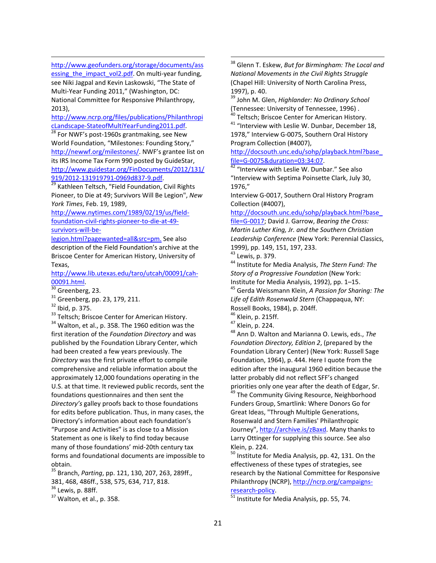<u> 1989 - Johann Barn, mars ann an t-Amhain Aonaichte ann an t-Aonaichte ann an t-Aonaichte ann an t-Aonaichte a</u> [http://www.geofunders.org/storage/documents/ass](http://www.geofunders.org/storage/documents/assessing_the_impact_vol2.pdf) essing the impact vol2.pdf. On multi-year funding, see Niki Jagpal and Kevin Laskowski, "The State of Multi‐Year Funding 2011," (Washington, DC: National Committee for Responsive Philanthropy, 2013),

[http://www.ncrp.org/files/publications/Philanthropi](http://www.ncrp.org/files/publications/PhilanthropicLandscape-StateofMultiYearFunding2011.pdf)cLandscape-StateofMultiYearFunding2011.pdf.

 $28$  For NWF's post-1960s grantmaking, see New World Foundation, "Milestones: Founding Story," <http://newwf.org/milestones/>. NWF's grantee list on its IRS Income Tax Form 990 posted by GuideStar, [http://www.guidestar.org/FinDocuments/2012/131/](http://www.guidestar.org/FinDocuments/2012/131/919/2012-131919791-0969d837-9.pdf)<br>919/2012-131919791-0969d837-9.pdf.

2912012 -2012<br><sup>29</sup> Kathleen Teltsch, "Field Foundation, Civil Rights Pioneer, to Die at 49; Survivors Will Be Legion", *New York Times*, Feb. 19, 1989,

[http://www.nytimes.com/1989/02/19/us/field](http://www.nytimes.com/1989/02/19/us/field-foundation-civil-rights-pioneer-to-die-at-49-survivors-will-be-legion.html?pagewanted=all&src=pm)‐ [foundation](http://www.nytimes.com/1989/02/19/us/field-foundation-civil-rights-pioneer-to-die-at-49-survivors-will-be-legion.html?pagewanted=all&src=pm)‐civil‐rights‐pioneer‐to‐die‐at‐49‐ [survivors](http://www.nytimes.com/1989/02/19/us/field-foundation-civil-rights-pioneer-to-die-at-49-survivors-will-be-legion.html?pagewanted=all&src=pm)‐will‐be‐

<span id="page-20-0"></span>[legion.html?pagewanted=all&src=pm](http://www.nytimes.com/1989/02/19/us/field-foundation-civil-rights-pioneer-to-die-at-49-survivors-will-be-legion.html?pagewanted=all&src=pm). See also description of the Field Foundation's archive at the Briscoe Center for American History, University of Texas,

<span id="page-20-1"></span>[http://www.lib.utexas.edu/taro/utcah/00091/cah](http://www.lib.utexas.edu/taro/utcah/00091/cah-00091.html)‐  $\frac{0.0091.html}{^{30}}$  Greenberg, 23.<br>
<sup>31</sup> Greenberg, pp. 23, 179, 211.<br>
<sup>32</sup> Ibid, p. 375.<br>
<sup>33</sup> Teltsch; Briscoe Center for American History.<br>
<sup>34</sup> Walton, et al., p. 358. The 1960 edition was the

<span id="page-20-2"></span>

- 
- 
- 

<span id="page-20-7"></span><span id="page-20-6"></span><span id="page-20-5"></span><span id="page-20-4"></span><span id="page-20-3"></span>first iteration of the *Foundation Directory* and was published by the Foundation Library Center, which had been created a few years previously. The *Directory* was the first private effort to compile comprehensive and reliable information about the approximately 12,000 foundations operating in the U.S. at that time. It reviewed public records, sent the foundations questionnaires and then sent the *Directory's* galley proofs back to those foundations for edits before publication. Thus, in many cases, the Directory's information about each foundation's "Purpose and Activities" is as close to a Mission Statement as one is likely to find today because many of those foundations' mid‐20th century tax forms and foundational documents are impossible to obtain.

<span id="page-20-9"></span><span id="page-20-8"></span><sup>35</sup> Branch, *Parting*, pp. 121, 130, 207, 263, 289ff., 381, 468, 486ff., 538, 575, 634, 717, 818.<br><sup>36</sup> Lewis, p. 88ff.<br><sup>37</sup> Walton, et al., p. 358.

<sup>38</sup> Glenn T. Eskew, *But for Birmingham: The Local and National Movements in the Civil Rights Struggle* (Chapel Hill: University of North Carolina Press, 1997), p. 40. <sup>39</sup> John M. Glen, *Highlander: No Ordinary School*

<u> 1989 - Johann Barn, mars ann an t-Amhain Aonaichte ann an t-Aonaichte ann an t-Aonaichte ann an t-Aonaichte a</u>

(Tennessee: University of Tennessee, 1996) .<br><sup>40</sup> Teltsch; Briscoe Center for American History.<br><sup>41</sup> "Interview with Leslie W. Dunbar, December 18, 1978," Interview G-0075, Southern Oral History Program Collection (#4007),

[http://docsouth.unc.edu/sohp/playback.html?base\\_](http://docsouth.unc.edu/sohp/playback.html?base_file=G-0075&duration=03:34:07)  $\frac{\text{file=G-0075&duration=03:34:07}}{42}$  "Interview with Leslie W. Dunbar." See also

"Interview with Septima Poinsette Clark, July 30, 1976,"

Interview G‐0017, Southern Oral History Program Collection (#4007),

[http://docsouth.unc.edu/sohp/playback.html?base\\_](http://docsouth.unc.edu/sohp/playback.html?base_file=G-0017)

[file=G](http://docsouth.unc.edu/sohp/playback.html?base_file=G-0017)‐0017; David J. Garrow, *Bearing the Cross: Martin Luther King, Jr. and the Southern Christian Leadership Conference* (New York: Perennial Classics, 1999), pp. 149, 151, 197, 233. <sup>43</sup> Lewis, p. 379. <sup>44</sup> Institute for Media Analysis, *The Stern Fund: The*

*Story of a Progressive Foundation* (New York: Institute for Media Analysis, 1992), pp. 1–15. <sup>45</sup> Gerda Weissmann Klein, *<sup>A</sup> Passion for Sharing: The*

*Life of Edith Rosenwald Stern* (Chappaqua, NY:

Rossell Books, 1984), p. 204ff.<br><sup>46</sup> Klein, p. 215ff.<br><sup>47</sup> Klein, p. 224.<br><sup>48</sup> Ann D. Walton and Marianna O. Lewis, eds., *The Foundation Directory, Edition 2*, (prepared by the Foundation Library Center) (New York: Russell Sage Foundation, 1964), p. 444. Here I quote from the edition after the inaugural 1960 edition because the latter probably did not reflect SFF's changed priorities only one year after the death of Edgar, Sr.<br><sup>49</sup> The Community Giving Resource, Neighborhood

Funders Group, Smartlink: Where Donors Go for Great Ideas, "Through Multiple Generations, Rosenwald and Stern Families' Philanthropic Journey", <http://archive.is/zBaxd>. Many thanks to Larry Ottinger for supplying this source. See also

Klein, p. 224.<br><sup>50</sup> Institute for Media Analysis, pp. 42, 131. On the effectiveness of these types of strategies, see research by the National Committee for Responsive Philanthropy (NCRP), [http://ncrp.org/campaigns](http://ncrp.org/campaigns-research-policy)‐

[research](http://ncrp.org/campaigns-research-policy)-policy.<br><sup>51</sup> Institute for Media Analysis, pp. 55, 74.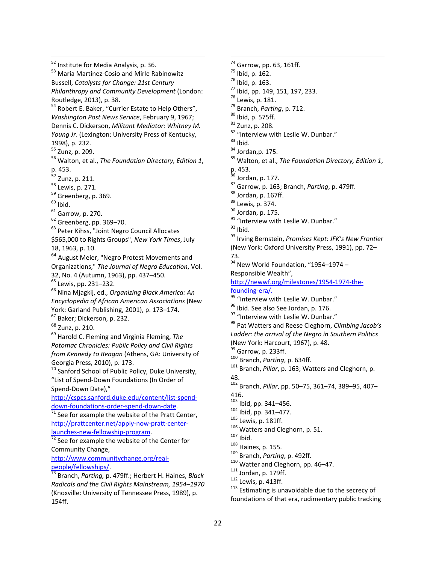<span id="page-21-1"></span><span id="page-21-0"></span> $52$  Institute for Media Analysis, p. 36.<br> $53$  Maria Martinez-Cosio and Mirle Rabinowitz Bussell, *Catalysts for Change: 21st Century Philanthropy and Community Development* (London: Routledge, 2013), p. 38.<br><sup>54</sup> Robert E. Baker, "Currier Estate to Help Others", *Washington Post News Service*, February 9, 1967; Dennis C. Dickerson, *Militant Mediator: Whitney M. Young Jr.* (Lexington: University Press of Kentucky, 1998), p. 232. <sup>55</sup> Zunz, p. 209. <sup>56</sup> Walton, et al., *The Foundation Directory, Edition <sup>1</sup>*, p. 453.  $57$  Zunz, p. 211.<br> $58$  Lewis, p. 271. <sup>59</sup> Greenberg, p. 369.<br><sup>60</sup> Ibid.<br><sup>61</sup> Garrow, p. 270.<br><sup>62</sup> Greenberg, pp. 369–70.<br><sup>63</sup> Peter Kihss, "Joint Negro Council Allocates \$565,000 to Rights Groups", *New York Times*, July 18, 1963, p. 10. <sup>64</sup> August Meier, "Negro Protest Movements and Organizations," *The Journal of Negro Education*, Vol. 32, No. <sup>4</sup> (Autumn, 1963), pp. 437–450. <sup>65</sup> Lewis, pp. 231–232. <sup>66</sup> Nina Mjagkij, ed., *Organizing Black America: An Encyclopedia of African American Associations* (New York: Garland Publishing, 2001), p. 173–174.<br><sup>67</sup> Baker; Dickerson, p. 232.  $68$  Zunz, p. 210. <sup>69</sup> Harold C. Fleming and Virginia Fleming, *The Potomac Chronicles: Public Policy and Civil Rights from Kennedy to Reagan* (Athens, GA: University of Georgia Press, 2010), p. 173.<br><sup>70</sup> Sanford School of Public Policy, Duke University, "List of Spend‐Down Foundations (In Order of Spend‐Down Date)," [http://cspcs.sanford.duke.edu/content/list](http://cspcs.sanford.duke.edu/content/list-spend-down-foundations-order-spend-down-date)‐spend‐ down-[foundations](http://cspcs.sanford.duke.edu/content/list-spend-down-foundations-order-spend-down-date)-order-spend-down-date.<br>
<sup>71</sup> See for example the website of the Pratt Center, [http://prattcenter.net/apply](http://prattcenter.net/apply-now-pratt-center-launches-new-fellowship-program)-now-pratt-center-<br>launches-new-fellowship-program.  $\frac{1}{72}$  See for example the website of the Center for Community Change, [http://www.communitychange.org/real](http://www.communitychange.org/real-people/fellowships/)-<br>people/fellowships/ [people/fellowships/](http://www.communitychange.org/real-people/fellowships/). <sup>73</sup> Branch, *Parting,* p. 479ff.; Herbert H. Haines, *Black Radicals and the Civil Rights Mainstream, 1954–1970* (Knoxville: University of Tennessee Press, 1989), p.

<span id="page-21-9"></span><span id="page-21-8"></span><span id="page-21-7"></span><span id="page-21-6"></span><span id="page-21-5"></span><span id="page-21-4"></span><span id="page-21-3"></span><span id="page-21-2"></span>154ff.

<u> 1989 - Johann Barn, mars ann an t-Amhain Aonaichte ann an t-Aonaichte ann an t-Aonaichte ann an t-Aonaichte a</u>

74 Garrow, pp. 63, 161ff. <sup>74</sup> Garrow, pp. 63, 161ff.<br><sup>75</sup> Ibid, p. 162.<br><sup>76</sup> Ibid, p. 163.<br><sup>77</sup> Ibid, pp. 149, 151, 197, 233.<br><sup>78</sup> Lewis, p. 181.<br><sup>79</sup> Branch, *Parting*, p. 712.<br><sup>80</sup> Ibid, p. 575ff.<br><sup>81</sup> Zunz, p. 208.<br><sup>82</sup> "Interview with Leslie W p. 453.<br>  $^{86}$  Jordan, p. 177.<br>  $^{87}$  Garrow, p. 163; Branch, *Parting*, p. 479ff.<br>  $^{88}$  Jordan, p. 167ff.<br>  $^{89}$  Lewis, p. 374.<br>  $^{90}$  Jordan, p. 175.<br>  $^{91}$  "Interview with Leslie W. Dunbar."<br>  $^{92}$  Ibid.<br>  $^{93}$ (New York: Oxford University Press, 1991), pp. 72– 73.  $94$  New World Foundation, "1954-1974 -Responsible Wealth", [http://newwf.org/milestones/1954](http://newwf.org/milestones/1954-1974-the-founding-era/)-1974-the[founding](http://newwf.org/milestones/1954-1974-the-founding-era/)-era/.<br><sup>95</sup> "Interview with Leslie W. Dunbar."<br><sup>96</sup> Ibid. See also See Jordan, p. 176.<br><sup>97</sup> "Interview with Leslie W. Dunbar."<br><sup>98</sup> Pat Watters and Reese Cleghorn, *Climbing Jacob's Ladder: the arrival of the Negro in Southern Politics* (New York: Harcourt, 1967), p. 48.<br><sup>99</sup> Garrow, p. 233ff.<br><sup>100</sup> Branch, *Parting*, p. 634ff.<br><sup>101</sup> Branch, *Pillar*, p. 163; Watters and Cleghorn, p. 48. <sup>102</sup> Branch, *Pillar*, pp. 50–75, 361–74, 389–95, 407– 416.<br><sup>103</sup> Ibid, pp. 341–456. <sup>104</sup> lbid, pp. 341–477.<br>
<sup>105</sup> Lewis, p. 181ff.<br>
<sup>106</sup> Watters and Cleghorn, p. 51.<br>
<sup>107</sup> lbid.<br>
<sup>108</sup> Haines, p. 155.<br>
<sup>109</sup> Branch, *Parting*, p. 492ff.<br>
<sup>110</sup> Watter and Cleghorn, pp. 46–47.<br>
<sup>111</sup> Jordan, p. 179ff.<br> foundations of that era, rudimentary public tracking